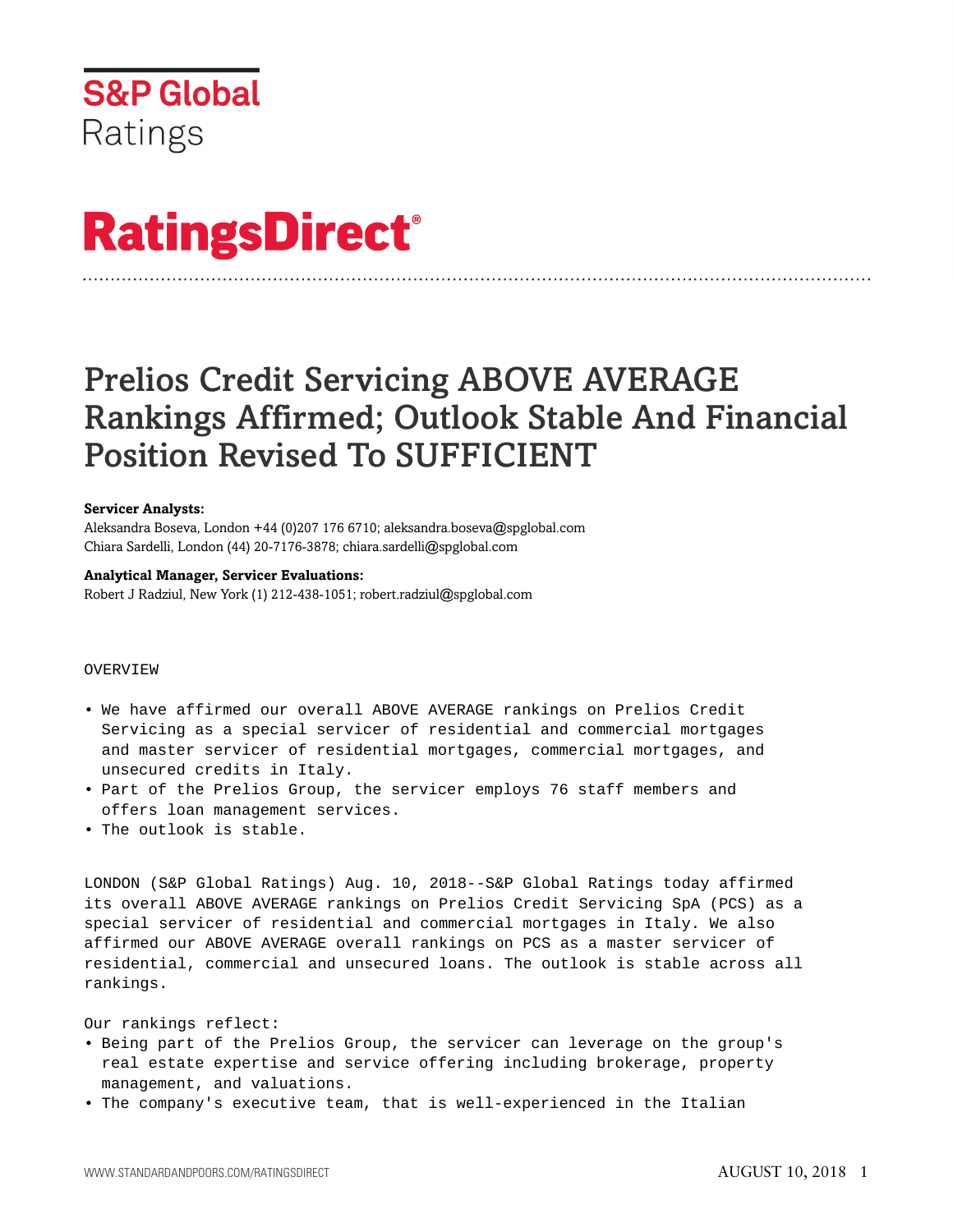

# **RatingsDirect®**

# Prelios Credit Servicing ABOVE AVERAGE Rankings Affirmed; Outlook Stable And Financial Position Revised To SUFFICIENT

#### **Servicer Analysts:**

Aleksandra Boseva, London +44 (0)207 176 6710; aleksandra.boseva@spglobal.com Chiara Sardelli, London (44) 20-7176-3878; chiara.sardelli@spglobal.com

## **Analytical Manager, Servicer Evaluations:**

Robert J Radziul, New York (1) 212-438-1051; robert.radziul@spglobal.com

## OVERVIEW

- We have affirmed our overall ABOVE AVERAGE rankings on Prelios Credit Servicing as a special servicer of residential and commercial mortgages and master servicer of residential mortgages, commercial mortgages, and unsecured credits in Italy.
- Part of the Prelios Group, the servicer employs 76 staff members and offers loan management services.
- The outlook is stable.

LONDON (S&P Global Ratings) Aug. 10, 2018--S&P Global Ratings today affirmed its overall ABOVE AVERAGE rankings on Prelios Credit Servicing SpA (PCS) as a special servicer of residential and commercial mortgages in Italy. We also affirmed our ABOVE AVERAGE overall rankings on PCS as a master servicer of residential, commercial and unsecured loans. The outlook is stable across all rankings.

Our rankings reflect:

- Being part of the Prelios Group, the servicer can leverage on the group's real estate expertise and service offering including brokerage, property management, and valuations.
- The company's executive team, that is well-experienced in the Italian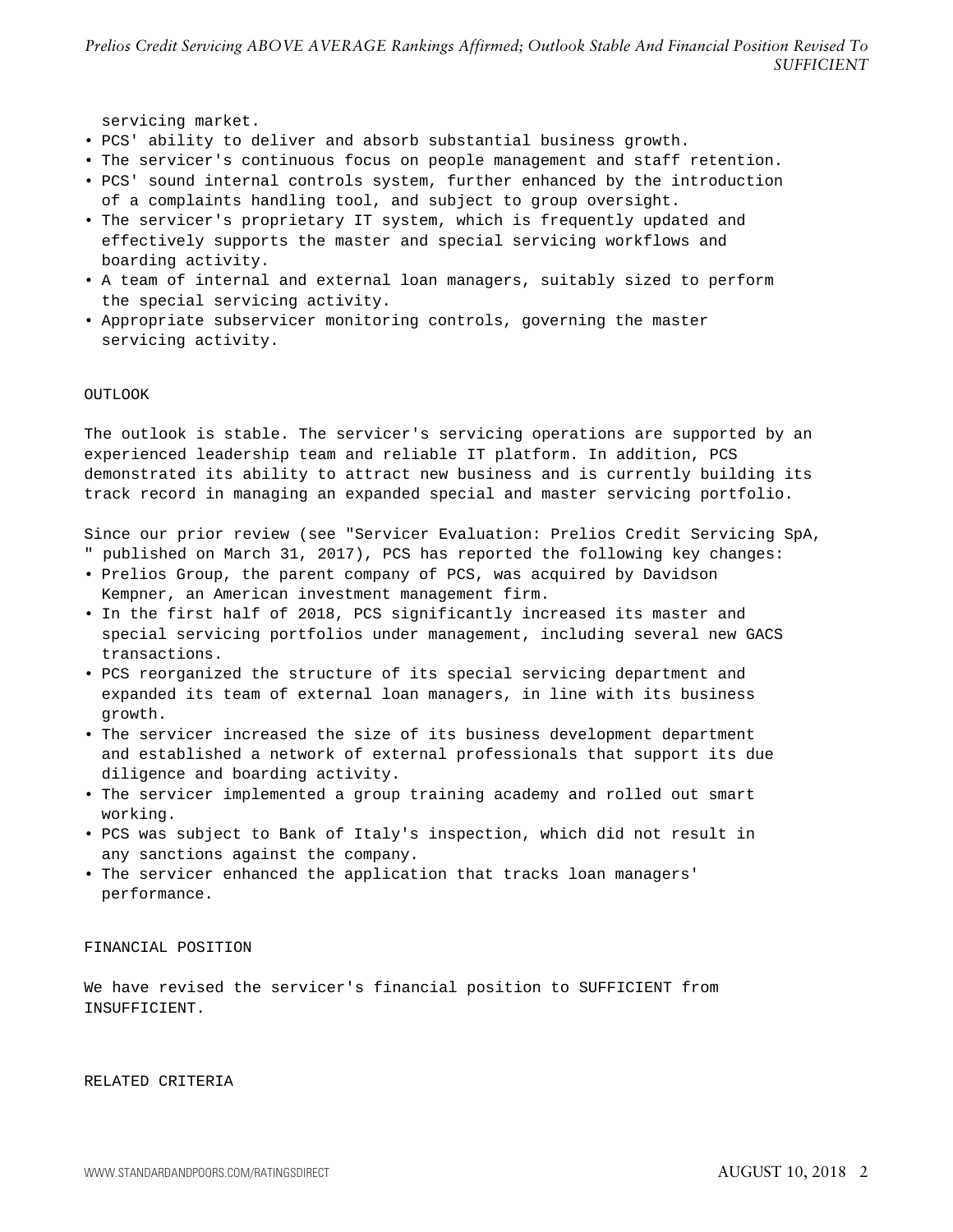*Prelios Credit Servicing ABOVE AVERAGE Rankings Affirmed; Outlook Stable And Financial Position Revised To SUFFICIENT*

servicing market.

- PCS' ability to deliver and absorb substantial business growth.
- The servicer's continuous focus on people management and staff retention.
- PCS' sound internal controls system, further enhanced by the introduction of a complaints handling tool, and subject to group oversight.
- The servicer's proprietary IT system, which is frequently updated and effectively supports the master and special servicing workflows and boarding activity.
- A team of internal and external loan managers, suitably sized to perform the special servicing activity.
- Appropriate subservicer monitoring controls, governing the master servicing activity.

#### OUTLOOK

The outlook is stable. The servicer's servicing operations are supported by an experienced leadership team and reliable IT platform. In addition, PCS demonstrated its ability to attract new business and is currently building its track record in managing an expanded special and master servicing portfolio.

Since our prior review (see "Servicer Evaluation: Prelios Credit Servicing SpA,

- " published on March 31, 2017), PCS has reported the following key changes:
- Prelios Group, the parent company of PCS, was acquired by Davidson Kempner, an American investment management firm.
- In the first half of 2018, PCS significantly increased its master and special servicing portfolios under management, including several new GACS transactions.
- PCS reorganized the structure of its special servicing department and expanded its team of external loan managers, in line with its business growth.
- The servicer increased the size of its business development department and established a network of external professionals that support its due diligence and boarding activity.
- The servicer implemented a group training academy and rolled out smart working.
- PCS was subject to Bank of Italy's inspection, which did not result in any sanctions against the company.
- The servicer enhanced the application that tracks loan managers' performance.

#### FINANCIAL POSITION

We have revised the servicer's financial position to SUFFICIENT from INSUFFICIENT.

#### RELATED CRITERIA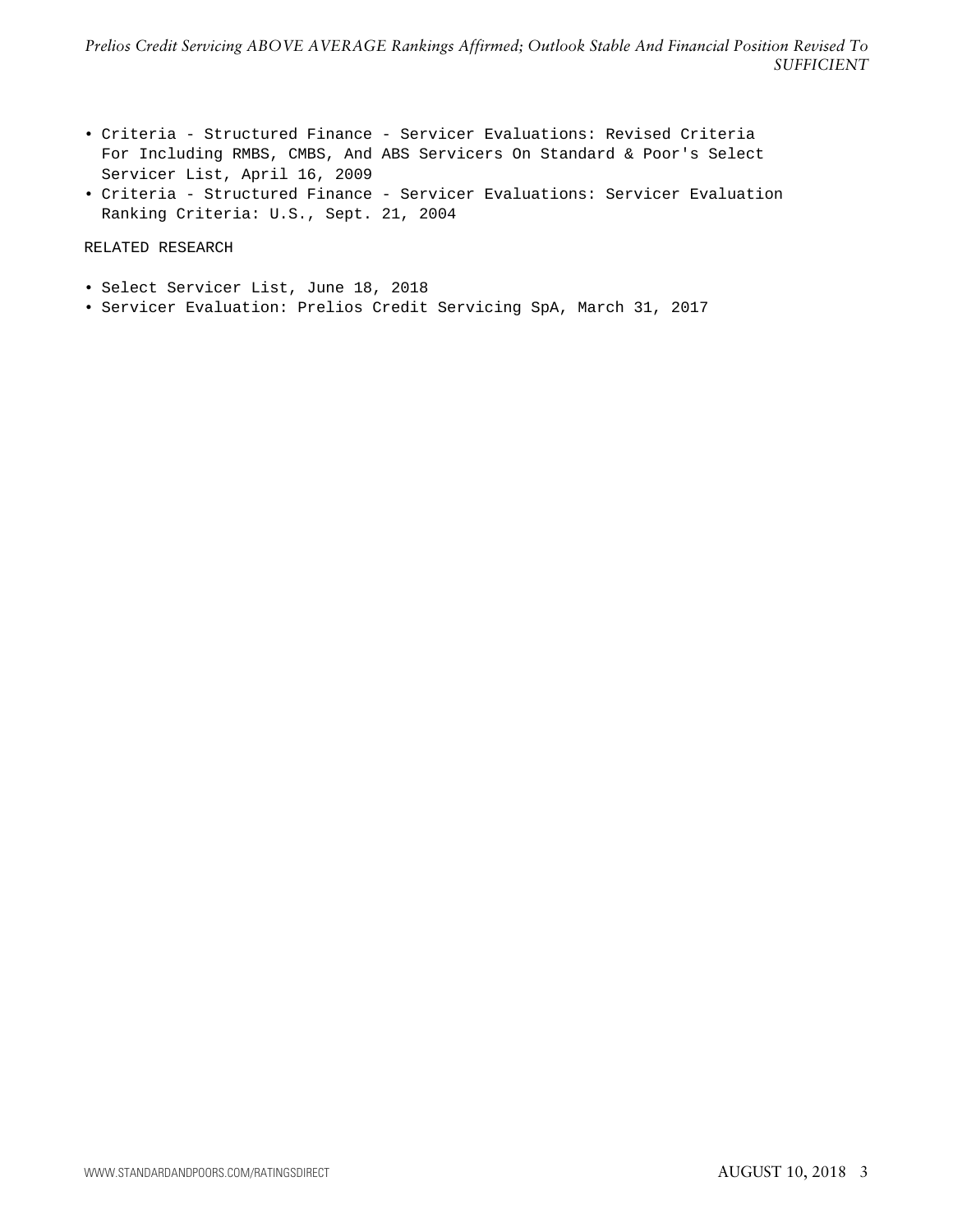- Criteria Structured Finance Servicer Evaluations: Revised Criteria For Including RMBS, CMBS, And ABS Servicers On Standard & Poor's Select Servicer List, April 16, 2009
- Criteria Structured Finance Servicer Evaluations: Servicer Evaluation Ranking Criteria: U.S., Sept. 21, 2004

# RELATED RESEARCH

- Select Servicer List, June 18, 2018
- Servicer Evaluation: Prelios Credit Servicing SpA, March 31, 2017